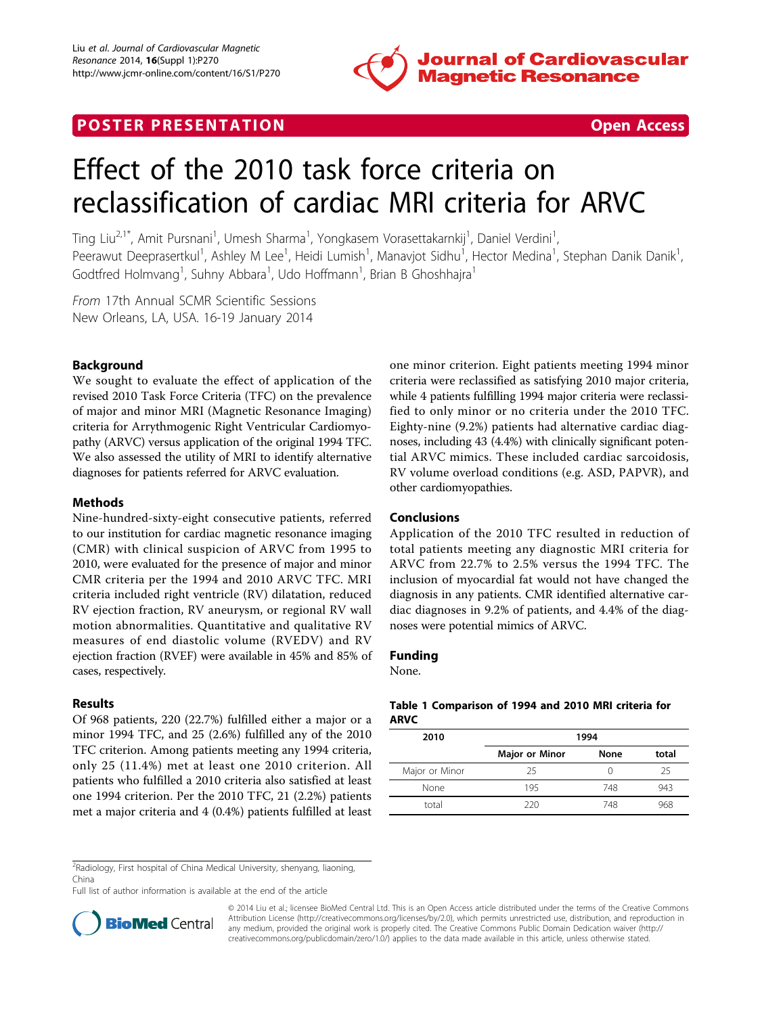

# **POSTER PRESENTATION CONSUMING THE SECOND CONSUMING THE SECOND CONSUMING THE SECOND CONSUMING THE SECOND CONSUMING THE SECOND CONSUMING THE SECOND CONSUMING THE SECOND CONSUMING THE SECOND CONSUMING THE SECOND CONSUMING**



# Effect of the 2010 task force criteria on reclassification of cardiac MRI criteria for ARVC

Ting Liu<sup>2,1\*</sup>, Amit Pursnani<sup>1</sup>, Umesh Sharma<sup>1</sup>, Yongkasem Vorasettakarnkij<sup>1</sup>, Daniel Verdini<sup>1</sup> , Peerawut Deeprasertkul<sup>1</sup>, Ashley M Lee<sup>1</sup>, Heidi Lumish<sup>1</sup>, Manavjot Sidhu<sup>1</sup>, Hector Medina<sup>1</sup>, Stephan Danik Danik<sup>1</sup> , Godtfred Holmvang<sup>1</sup>, Suhny Abbara<sup>1</sup>, Udo Hoffmann<sup>1</sup>, Brian B Ghoshhajra<sup>1</sup>

From 17th Annual SCMR Scientific Sessions New Orleans, LA, USA. 16-19 January 2014

## **Background**

We sought to evaluate the effect of application of the revised 2010 Task Force Criteria (TFC) on the prevalence of major and minor MRI (Magnetic Resonance Imaging) criteria for Arrythmogenic Right Ventricular Cardiomyopathy (ARVC) versus application of the original 1994 TFC. We also assessed the utility of MRI to identify alternative diagnoses for patients referred for ARVC evaluation.

#### Methods

Nine-hundred-sixty-eight consecutive patients, referred to our institution for cardiac magnetic resonance imaging (CMR) with clinical suspicion of ARVC from 1995 to 2010, were evaluated for the presence of major and minor CMR criteria per the 1994 and 2010 ARVC TFC. MRI criteria included right ventricle (RV) dilatation, reduced RV ejection fraction, RV aneurysm, or regional RV wall motion abnormalities. Quantitative and qualitative RV measures of end diastolic volume (RVEDV) and RV ejection fraction (RVEF) were available in 45% and 85% of cases, respectively.

#### Results

Of 968 patients, 220 (22.7%) fulfilled either a major or a minor 1994 TFC, and 25 (2.6%) fulfilled any of the 2010 TFC criterion. Among patients meeting any 1994 criteria, only 25 (11.4%) met at least one 2010 criterion. All patients who fulfilled a 2010 criteria also satisfied at least one 1994 criterion. Per the 2010 TFC, 21 (2.2%) patients met a major criteria and 4 (0.4%) patients fulfilled at least one minor criterion. Eight patients meeting 1994 minor criteria were reclassified as satisfying 2010 major criteria, while 4 patients fulfilling 1994 major criteria were reclassified to only minor or no criteria under the 2010 TFC. Eighty-nine (9.2%) patients had alternative cardiac diagnoses, including 43 (4.4%) with clinically significant potential ARVC mimics. These included cardiac sarcoidosis, RV volume overload conditions (e.g. ASD, PAPVR), and other cardiomyopathies.

## Conclusions

Application of the 2010 TFC resulted in reduction of total patients meeting any diagnostic MRI criteria for ARVC from 22.7% to 2.5% versus the 1994 TFC. The inclusion of myocardial fat would not have changed the diagnosis in any patients. CMR identified alternative cardiac diagnoses in 9.2% of patients, and 4.4% of the diagnoses were potential mimics of ARVC.

#### Funding

None.

#### Table 1 Comparison of 1994 and 2010 MRI criteria for ARVC

| 2010           | 1994           |      |       |
|----------------|----------------|------|-------|
|                | Major or Minor | None | total |
| Major or Minor | 25             |      | 25    |
| None           | 195            | 748  | 943   |
| total          | 220            | 748  | 968   |

<sup>2</sup>Radiology, First hospital of China Medical University, shenyang, liaoning, China

Full list of author information is available at the end of the article



© 2014 Liu et al.; licensee BioMed Central Ltd. This is an Open Access article distributed under the terms of the Creative Commons Attribution License [\(http://creativecommons.org/licenses/by/2.0](http://creativecommons.org/licenses/by/2.0)), which permits unrestricted use, distribution, and reproduction in any medium, provided the original work is properly cited. The Creative Commons Public Domain Dedication waiver [\(http://](http://creativecommons.org/publicdomain/zero/1.0/) [creativecommons.org/publicdomain/zero/1.0/](http://creativecommons.org/publicdomain/zero/1.0/)) applies to the data made available in this article, unless otherwise stated.